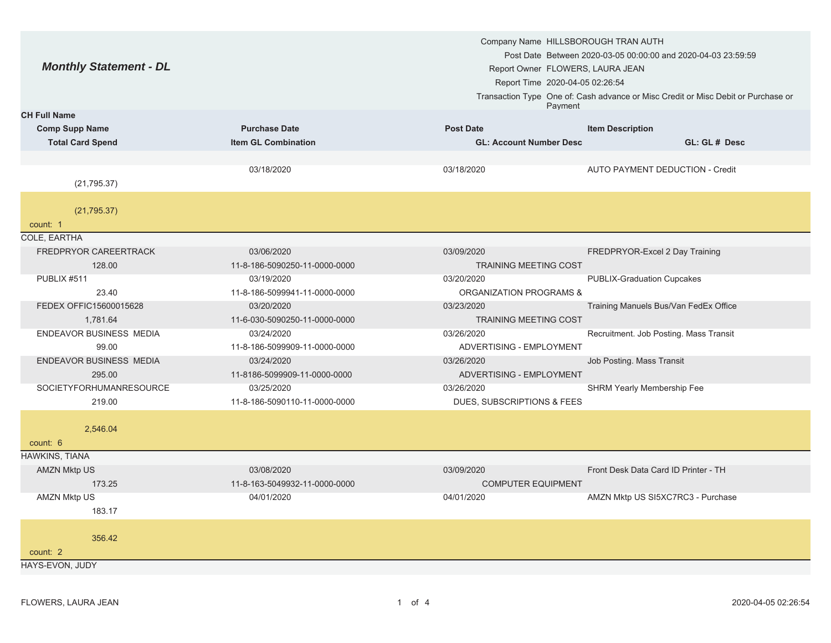| <b>Monthly Statement - DL</b>         |                                             | Company Name HILLSBOROUGH TRAN AUTH<br>Post Date Between 2020-03-05 00:00:00 and 2020-04-03 23:59:59<br>Report Owner FLOWERS, LAURA JEAN<br>Report Time 2020-04-05 02:26:54<br>Transaction Type One of: Cash advance or Misc Credit or Misc Debit or Purchase or<br>Payment |                                        |
|---------------------------------------|---------------------------------------------|-----------------------------------------------------------------------------------------------------------------------------------------------------------------------------------------------------------------------------------------------------------------------------|----------------------------------------|
| <b>CH Full Name</b>                   |                                             |                                                                                                                                                                                                                                                                             |                                        |
| <b>Comp Supp Name</b>                 | <b>Purchase Date</b>                        | <b>Post Date</b>                                                                                                                                                                                                                                                            | <b>Item Description</b>                |
| <b>Total Card Spend</b>               | <b>Item GL Combination</b>                  | <b>GL: Account Number Desc</b>                                                                                                                                                                                                                                              | GL: GL # Desc                          |
|                                       |                                             |                                                                                                                                                                                                                                                                             |                                        |
|                                       | 03/18/2020                                  | 03/18/2020                                                                                                                                                                                                                                                                  | AUTO PAYMENT DEDUCTION - Credit        |
| (21, 795.37)                          |                                             |                                                                                                                                                                                                                                                                             |                                        |
| (21, 795.37)                          |                                             |                                                                                                                                                                                                                                                                             |                                        |
| count: 1                              |                                             |                                                                                                                                                                                                                                                                             |                                        |
| COLE, EARTHA                          |                                             |                                                                                                                                                                                                                                                                             |                                        |
| FREDPRYOR CAREERTRACK                 | 03/06/2020                                  | 03/09/2020                                                                                                                                                                                                                                                                  | FREDPRYOR-Excel 2 Day Training         |
| 128.00<br>PUBLIX #511                 | 11-8-186-5090250-11-0000-0000<br>03/19/2020 | <b>TRAINING MEETING COST</b><br>03/20/2020                                                                                                                                                                                                                                  | <b>PUBLIX-Graduation Cupcakes</b>      |
| 23.40                                 | 11-8-186-5099941-11-0000-0000               | <b>ORGANIZATION PROGRAMS &amp;</b>                                                                                                                                                                                                                                          |                                        |
| FEDEX OFFIC15600015628                | 03/20/2020                                  | 03/23/2020                                                                                                                                                                                                                                                                  | Training Manuels Bus/Van FedEx Office  |
| 1,781.64                              | 11-6-030-5090250-11-0000-0000               | <b>TRAINING MEETING COST</b>                                                                                                                                                                                                                                                |                                        |
| ENDEAVOR BUSINESS MEDIA               | 03/24/2020                                  | 03/26/2020                                                                                                                                                                                                                                                                  | Recruitment. Job Posting. Mass Transit |
| 99.00                                 | 11-8-186-5099909-11-0000-0000               | ADVERTISING - EMPLOYMENT                                                                                                                                                                                                                                                    |                                        |
| ENDEAVOR BUSINESS MEDIA               | 03/24/2020                                  | 03/26/2020                                                                                                                                                                                                                                                                  | Job Posting. Mass Transit              |
| 295.00                                | 11-8186-5099909-11-0000-0000                | ADVERTISING - EMPLOYMENT                                                                                                                                                                                                                                                    |                                        |
| SOCIETYFORHUMANRESOURCE               | 03/25/2020                                  | 03/26/2020                                                                                                                                                                                                                                                                  | SHRM Yearly Membership Fee             |
| 219.00                                | 11-8-186-5090110-11-0000-0000               | DUES, SUBSCRIPTIONS & FEES                                                                                                                                                                                                                                                  |                                        |
| 2,546.04<br>count: 6                  |                                             |                                                                                                                                                                                                                                                                             |                                        |
| <b>HAWKINS, TIANA</b>                 |                                             |                                                                                                                                                                                                                                                                             |                                        |
| <b>AMZN Mktp US</b>                   | 03/08/2020                                  | 03/09/2020                                                                                                                                                                                                                                                                  | Front Desk Data Card ID Printer - TH   |
| 173.25                                | 11-8-163-5049932-11-0000-0000               | <b>COMPUTER EQUIPMENT</b>                                                                                                                                                                                                                                                   |                                        |
| <b>AMZN Mktp US</b><br>183.17         | 04/01/2020                                  | 04/01/2020                                                                                                                                                                                                                                                                  | AMZN Mktp US SI5XC7RC3 - Purchase      |
| 356.42<br>count: 2<br>HAYS-EVON, JUDY |                                             |                                                                                                                                                                                                                                                                             |                                        |
|                                       |                                             |                                                                                                                                                                                                                                                                             |                                        |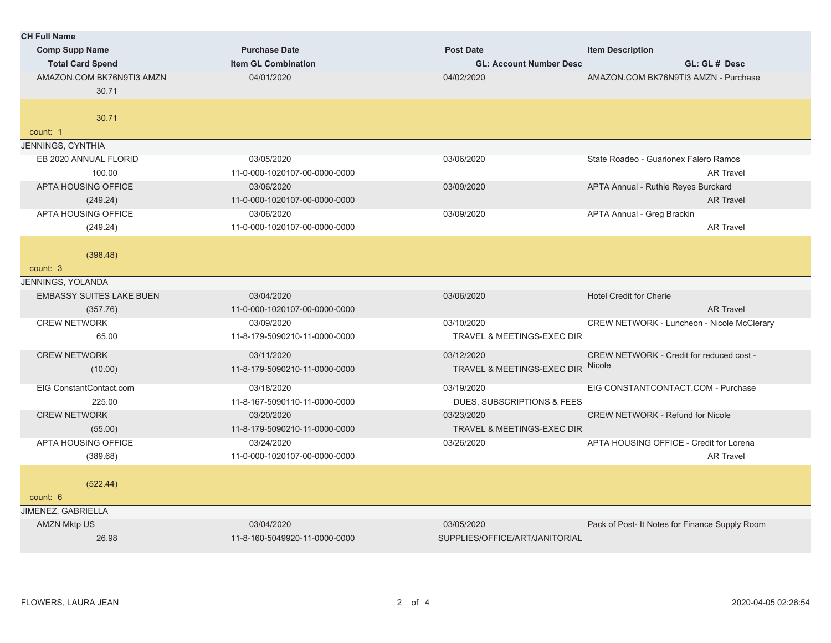| <b>CH Full Name</b>             |                               |                                       |                                                |
|---------------------------------|-------------------------------|---------------------------------------|------------------------------------------------|
| <b>Comp Supp Name</b>           | <b>Purchase Date</b>          | <b>Post Date</b>                      | <b>Item Description</b>                        |
| <b>Total Card Spend</b>         | <b>Item GL Combination</b>    | <b>GL: Account Number Desc</b>        | GL: GL # Desc                                  |
| AMAZON.COM BK76N9TI3 AMZN       | 04/01/2020                    | 04/02/2020                            | AMAZON.COM BK76N9TI3 AMZN - Purchase           |
| 30.71                           |                               |                                       |                                                |
|                                 |                               |                                       |                                                |
| 30.71                           |                               |                                       |                                                |
| count: 1                        |                               |                                       |                                                |
| JENNINGS, CYNTHIA               |                               |                                       |                                                |
| EB 2020 ANNUAL FLORID           | 03/05/2020                    | 03/06/2020                            | State Roadeo - Guarionex Falero Ramos          |
| 100.00                          | 11-0-000-1020107-00-0000-0000 |                                       | <b>AR Travel</b>                               |
| <b>APTA HOUSING OFFICE</b>      | 03/06/2020                    | 03/09/2020                            | APTA Annual - Ruthie Reyes Burckard            |
| (249.24)                        | 11-0-000-1020107-00-0000-0000 |                                       | <b>AR Travel</b>                               |
| APTA HOUSING OFFICE             | 03/06/2020                    | 03/09/2020                            | APTA Annual - Greg Brackin                     |
| (249.24)                        | 11-0-000-1020107-00-0000-0000 |                                       | <b>AR Travel</b>                               |
|                                 |                               |                                       |                                                |
| (398.48)                        |                               |                                       |                                                |
| count: 3                        |                               |                                       |                                                |
| <b>JENNINGS, YOLANDA</b>        |                               |                                       |                                                |
| <b>EMBASSY SUITES LAKE BUEN</b> | 03/04/2020                    | 03/06/2020                            | <b>Hotel Credit for Cherie</b>                 |
| (357.76)                        | 11-0-000-1020107-00-0000-0000 |                                       | <b>AR Travel</b>                               |
| <b>CREW NETWORK</b>             | 03/09/2020                    | 03/10/2020                            | CREW NETWORK - Luncheon - Nicole McClerary     |
| 65.00                           | 11-8-179-5090210-11-0000-0000 | <b>TRAVEL &amp; MEETINGS-EXEC DIR</b> |                                                |
| <b>CREW NETWORK</b>             | 03/11/2020                    | 03/12/2020                            | CREW NETWORK - Credit for reduced cost -       |
| (10.00)                         | 11-8-179-5090210-11-0000-0000 | TRAVEL & MEETINGS-EXEC DIR            | Nicole                                         |
|                                 |                               |                                       |                                                |
| EIG ConstantContact.com         | 03/18/2020                    | 03/19/2020                            | EIG CONSTANTCONTACT.COM - Purchase             |
| 225.00                          | 11-8-167-5090110-11-0000-0000 | DUES, SUBSCRIPTIONS & FEES            |                                                |
| <b>CREW NETWORK</b>             | 03/20/2020                    | 03/23/2020                            | <b>CREW NETWORK - Refund for Nicole</b>        |
| (55.00)                         | 11-8-179-5090210-11-0000-0000 | TRAVEL & MEETINGS-EXEC DIR            |                                                |
| APTA HOUSING OFFICE             | 03/24/2020                    | 03/26/2020                            | APTA HOUSING OFFICE - Credit for Lorena        |
| (389.68)                        | 11-0-000-1020107-00-0000-0000 |                                       | <b>AR Travel</b>                               |
|                                 |                               |                                       |                                                |
| (522.44)                        |                               |                                       |                                                |
| count: 6                        |                               |                                       |                                                |
| JIMENEZ, GABRIELLA              |                               |                                       |                                                |
| <b>AMZN Mktp US</b>             | 03/04/2020                    | 03/05/2020                            | Pack of Post- It Notes for Finance Supply Room |
| 26.98                           | 11-8-160-5049920-11-0000-0000 | SUPPLIES/OFFICE/ART/JANITORIAL        |                                                |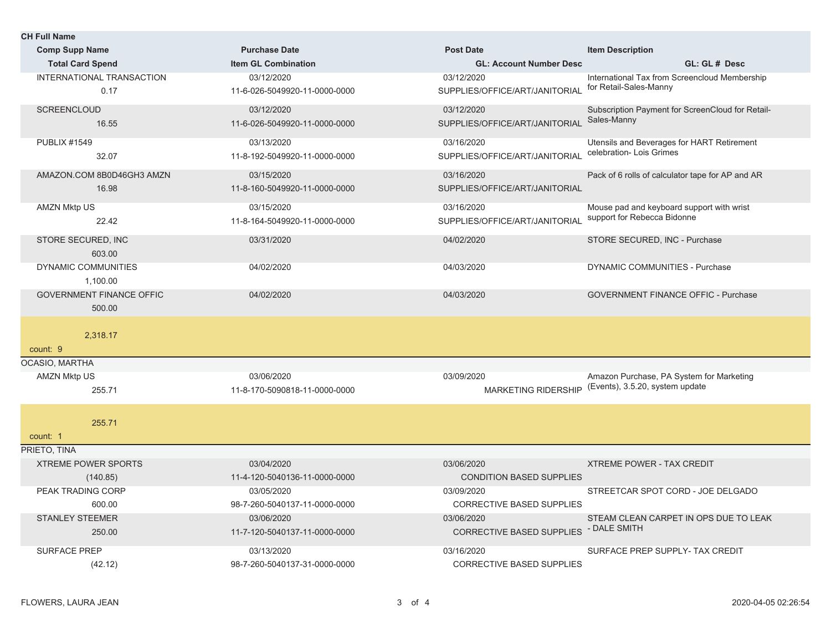| <b>CH Full Name</b> |                                           |                                             |                                                |                                                                          |
|---------------------|-------------------------------------------|---------------------------------------------|------------------------------------------------|--------------------------------------------------------------------------|
|                     | <b>Comp Supp Name</b>                     | <b>Purchase Date</b>                        | <b>Post Date</b>                               | <b>Item Description</b>                                                  |
|                     | <b>Total Card Spend</b>                   | <b>Item GL Combination</b>                  | <b>GL: Account Number Desc</b>                 | GL: GL # Desc                                                            |
|                     | <b>INTERNATIONAL TRANSACTION</b><br>0.17  | 03/12/2020<br>11-6-026-5049920-11-0000-0000 | 03/12/2020<br>SUPPLIES/OFFICE/ART/JANITORIAL   | International Tax from Screencloud Membership<br>for Retail-Sales-Manny  |
|                     | <b>SCREENCLOUD</b>                        | 03/12/2020                                  | 03/12/2020                                     | Subscription Payment for ScreenCloud for Retail-                         |
|                     | 16.55                                     | 11-6-026-5049920-11-0000-0000               | SUPPLIES/OFFICE/ART/JANITORIAL                 | Sales-Manny                                                              |
|                     | <b>PUBLIX #1549</b><br>32.07              | 03/13/2020<br>11-8-192-5049920-11-0000-0000 | 03/16/2020<br>SUPPLIES/OFFICE/ART/JANITORIAL   | Utensils and Beverages for HART Retirement<br>celebration- Lois Grimes   |
|                     | AMAZON.COM 8B0D46GH3 AMZN<br>16.98        | 03/15/2020<br>11-8-160-5049920-11-0000-0000 | 03/16/2020<br>SUPPLIES/OFFICE/ART/JANITORIAL   | Pack of 6 rolls of calculator tape for AP and AR                         |
|                     | <b>AMZN Mktp US</b><br>22.42              | 03/15/2020<br>11-8-164-5049920-11-0000-0000 | 03/16/2020<br>SUPPLIES/OFFICE/ART/JANITORIAL   | Mouse pad and keyboard support with wrist<br>support for Rebecca Bidonne |
|                     | STORE SECURED, INC<br>603.00              | 03/31/2020                                  | 04/02/2020                                     | STORE SECURED, INC - Purchase                                            |
|                     | DYNAMIC COMMUNITIES<br>1.100.00           | 04/02/2020                                  | 04/03/2020                                     | DYNAMIC COMMUNITIES - Purchase                                           |
|                     | <b>GOVERNMENT FINANCE OFFIC</b><br>500.00 | 04/02/2020                                  | 04/03/2020                                     | <b>GOVERNMENT FINANCE OFFIC - Purchase</b>                               |
| count: 9            | 2,318.17                                  |                                             |                                                |                                                                          |
|                     | <b>OCASIO, MARTHA</b>                     |                                             |                                                |                                                                          |
|                     | AMZN Mktp US                              | 03/06/2020                                  | 03/09/2020                                     | Amazon Purchase, PA System for Marketing                                 |
|                     | 255.71                                    | 11-8-170-5090818-11-0000-0000               | MARKETING RIDERSHIP                            | (Events), 3.5.20, system update                                          |
| count: 1            | 255.71                                    |                                             |                                                |                                                                          |
| PRIETO, TINA        |                                           |                                             |                                                |                                                                          |
|                     | <b>XTREME POWER SPORTS</b><br>(140.85)    | 03/04/2020<br>11-4-120-5040136-11-0000-0000 | 03/06/2020<br><b>CONDITION BASED SUPPLIES</b>  | <b>XTREME POWER - TAX CREDIT</b>                                         |
|                     | PEAK TRADING CORP                         | 03/05/2020                                  | 03/09/2020                                     | STREETCAR SPOT CORD - JOE DELGADO                                        |
|                     | 600.00                                    | 98-7-260-5040137-11-0000-0000               | <b>CORRECTIVE BASED SUPPLIES</b>               |                                                                          |
|                     | <b>STANLEY STEEMER</b><br>250.00          | 03/06/2020<br>11-7-120-5040137-11-0000-0000 | 03/06/2020<br><b>CORRECTIVE BASED SUPPLIES</b> | STEAM CLEAN CARPET IN OPS DUE TO LEAK<br>- DALE SMITH                    |
|                     | <b>SURFACE PREP</b><br>(42.12)            | 03/13/2020<br>98-7-260-5040137-31-0000-0000 | 03/16/2020<br><b>CORRECTIVE BASED SUPPLIES</b> | SURFACE PREP SUPPLY- TAX CREDIT                                          |